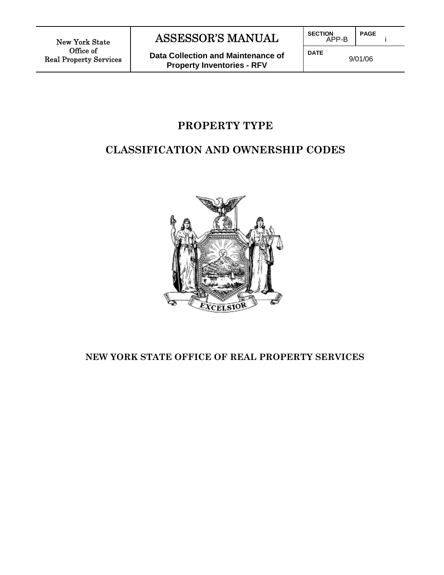New York State Office of Real Property Services

 $\overline{\phantom{a}}$ 

I

# ASSESSOR'S MANUAL

**Data Collection and Maintenance of Property Inventories - RFV**

**SECTION** APP-B **PAGE** 

**DATE**

9/01/06

i

# **PROPERTY TYPE**

# **CLASSIFICATION AND OWNERSHIP CODES**



# **NEW YORK STATE OFFICE OF REAL PROPERTY SERVICES**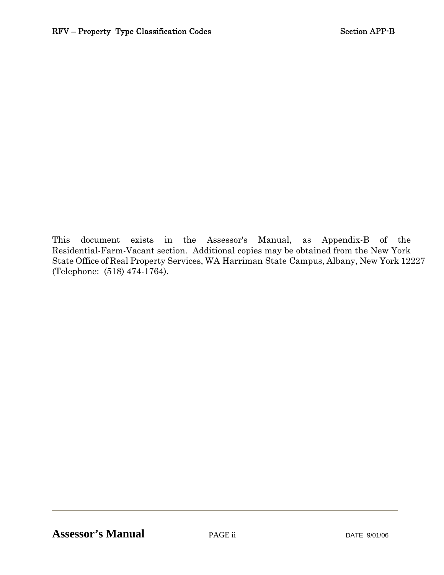This document exists in the Assessor's Manual, as Appendix-B of the Residential-Farm-Vacant section. Additional copies may be obtained from the New York State Office of Real Property Services, WA Harriman State Campus, Albany, New York 12227 (Telephone: (518) 474-1764).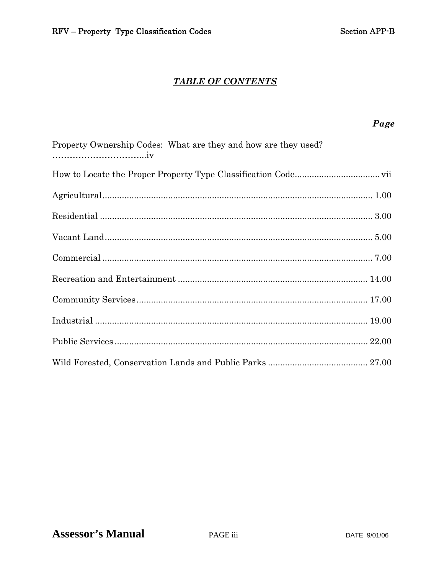Page

## **TABLE OF CONTENTS**

# Property Ownership Codes: What are they and how are they used?

PAGE iii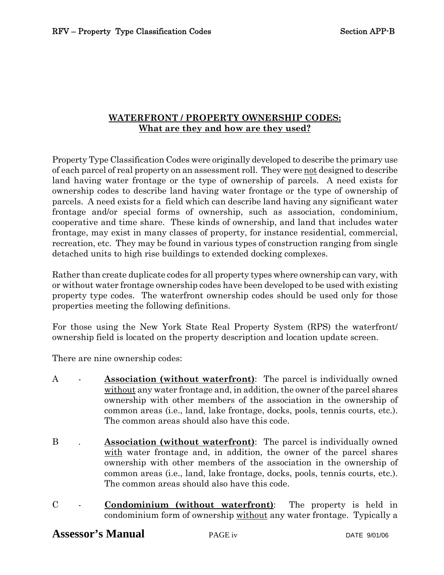### **WATERFRONT / PROPERTY OWNERSHIP CODES: What are they and how are they used?**

Property Type Classification Codes were originally developed to describe the primary use of each parcel of real property on an assessment roll. They were <u>not</u> designed to describe land having water frontage or the type of ownership of parcels. A need exists for ownership codes to describe land having water frontage or the type of ownership of parcels. A need exists for a field which can describe land having any significant water frontage and/or special forms of ownership, such as association, condominium, cooperative and time share. These kinds of ownership, and land that includes water frontage, may exist in many classes of property, for instance residential, commercial, recreation, etc. They may be found in various types of construction ranging from single detached units to high rise buildings to extended docking complexes.

Rather than create duplicate codes for all property types where ownership can vary, with or without water frontage ownership codes have been developed to be used with existing property type codes. The waterfront ownership codes should be used only for those properties meeting the following definitions.

For those using the New York State Real Property System (RPS) the waterfront/ ownership field is located on the property description and location update screen.

There are nine ownership codes:

- A **Association (without waterfront)**: The parcel is individually owned without any water frontage and, in addition, the owner of the parcel shares ownership with other members of the association in the ownership of common areas (i.e., land, lake frontage, docks, pools, tennis courts, etc.). The common areas should also have this code.
- B . **Association (without waterfront)**: The parcel is individually owned with water frontage and, in addition, the owner of the parcel shares ownership with other members of the association in the ownership of common areas (i.e., land, lake frontage, docks, pools, tennis courts, etc.). The common areas should also have this code.
- C **Condominium (without waterfront)**: The property is held in condominium form of ownership without any water frontage. Typically a

# **Assessor's Manual** PAGE iv DATE 9/01/06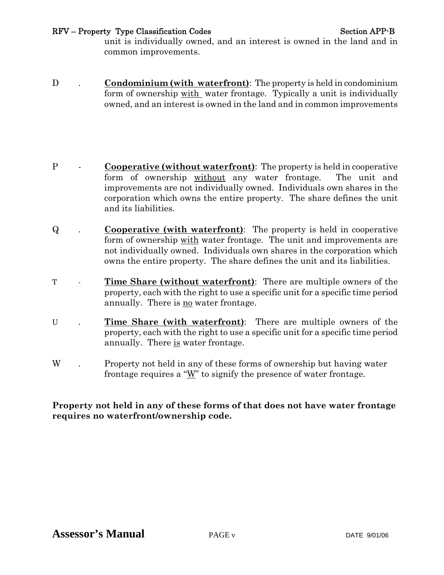#### RFV – Property Type Classification Codes Section APP-B

unit is individually owned, and an interest is owned in the land and in common improvements.

- D **. Condominium (with waterfront)**: The property is held in condominium form of ownership with water frontage. Typically a unit is individually owned, and an interest is owned in the land and in common improvements
- P **Cooperative (without waterfront)**: The property is held in cooperative form of ownership without any water frontage. The unit and improvements are not individually owned. Individuals own shares in the corporation which owns the entire property. The share defines the unit and its liabilities.
- Q . **Cooperative (with waterfront)**: The property is held in cooperative form of ownership with water frontage. The unit and improvements are not individually owned. Individuals own shares in the corporation which owns the entire property. The share defines the unit and its liabilities.
- T **Time Share (without waterfront)**: There are multiple owners of the property, each with the right to use a specific unit for a specific time period annually. There is no water frontage.
- U . **Time Share (with waterfront)**: There are multiple owners of the property, each with the right to use a specific unit for a specific time period annually. There is water frontage.
- W . Property not held in any of these forms of ownership but having water frontage requires a " $W$ " to signify the presence of water frontage.

#### **Property not held in any of these forms of that does not have water frontage requires no waterfront/ownership code.**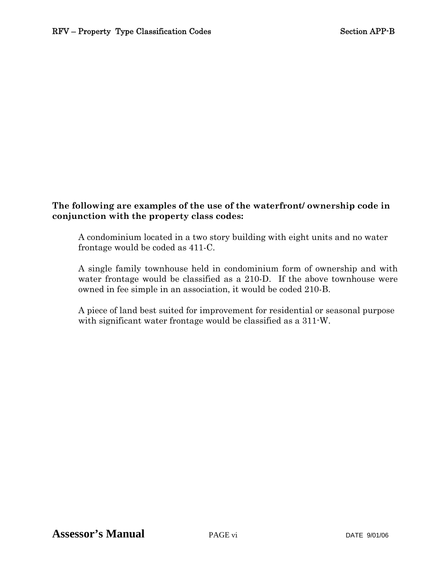#### **The following are examples of the use of the waterfront/ ownership code in conjunction with the property class codes:**

A condominium located in a two story building with eight units and no water frontage would be coded as 411-C.

A single family townhouse held in condominium form of ownership and with water frontage would be classified as a 210-D. If the above townhouse were owned in fee simple in an association, it would be coded 210-B.

 A piece of land best suited for improvement for residential or seasonal purpose with significant water frontage would be classified as a 311-W.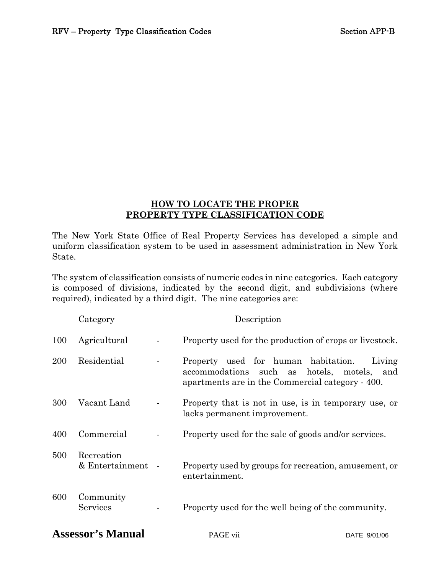#### **HOW TO LOCATE THE PROPER PROPERTY TYPE CLASSIFICATION CODE**

The New York State Office of Real Property Services has developed a simple and uniform classification system to be used in assessment administration in New York State.

The system of classification consists of numeric codes in nine categories. Each category is composed of divisions, indicated by the second digit, and subdivisions (where required), indicated by a third digit. The nine categories are:

|            | Category                        | Description                                                                                                                                           |
|------------|---------------------------------|-------------------------------------------------------------------------------------------------------------------------------------------------------|
| 100        | Agricultural                    | Property used for the production of crops or livestock.                                                                                               |
| <b>200</b> | Residential                     | Property used for human habitation.<br>Living<br>accommodations<br>such as hotels, motels,<br>and<br>apartments are in the Commercial category - 400. |
| 300        | Vacant Land                     | Property that is not in use, is in temporary use, or<br>lacks permanent improvement.                                                                  |
| 400        | Commercial                      | Property used for the sale of goods and/or services.                                                                                                  |
| 500        | Recreation<br>& Entertainment - | Property used by groups for recreation, amusement, or<br>entertainment.                                                                               |
| 600        | Community<br>Services           | Property used for the well being of the community.                                                                                                    |

# **Assessor's Manual** PAGE vii DATE 9/01/06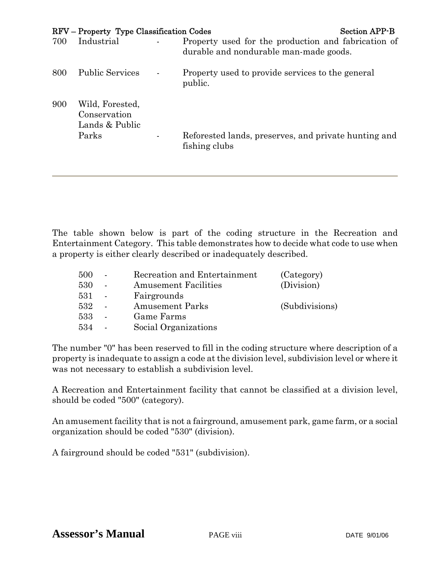|     | RFV – Property Type Classification Codes          |                                                                                               | <b>Section APP-B</b> |
|-----|---------------------------------------------------|-----------------------------------------------------------------------------------------------|----------------------|
| 700 | Industrial                                        | Property used for the production and fabrication of<br>durable and nondurable man-made goods. |                      |
| 800 | <b>Public Services</b>                            | Property used to provide services to the general<br>public.                                   |                      |
| 900 | Wild, Forested,<br>Conservation<br>Lands & Public |                                                                                               |                      |
|     | Parks                                             | Reforested lands, preserves, and private hunting and<br>fishing clubs                         |                      |

The table shown below is part of the coding structure in the Recreation and Entertainment Category. This table demonstrates how to decide what code to use when a property is either clearly described or inadequately described.

| 500 | Recreation and Entertainment | (Category)     |
|-----|------------------------------|----------------|
| 530 | <b>Amusement Facilities</b>  | (Division)     |
| 531 | Fairgrounds                  |                |
| 532 | <b>Amusement Parks</b>       | (Subdivisions) |
| 533 | Game Farms                   |                |
| 534 | Social Organizations         |                |

The number "0" has been reserved to fill in the coding structure where description of a property is inadequate to assign a code at the division level, subdivision level or where it was not necessary to establish a subdivision level.

A Recreation and Entertainment facility that cannot be classified at a division level, should be coded "500" (category).

An amusement facility that is not a fairground, amusement park, game farm, or a social organization should be coded "530" (division).

A fairground should be coded "531" (subdivision).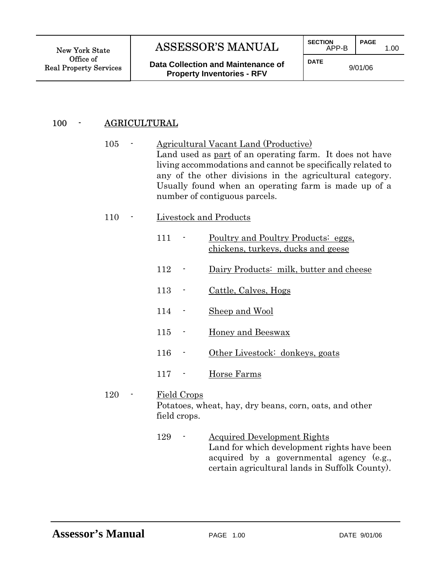$\overline{\phantom{a}}$ 

# New York State | ASSESSOR'S MANUAL | SECTION APP-B | PAGE 1.00

**Data Collection and Maintenance of Property Inventories - RFV**

j **SECTION** APP-B **PAGE** 

**DATE**

9/01/06

# 100 - AGRICULTURAL

I

- 105 Agricultural Vacant Land (Productive) Land used as <u>part</u> of an operating farm. It does not have living accommodations and cannot be specifically related to any of the other divisions in the agricultural category. Usually found when an operating farm is made up of a number of contiguous parcels.
- 110 Livestock and Products
- 111 <u>Poultry and Poultry Products: eggs,</u> chickens, turkeys, ducks and geese 112 - Dairy Products: milk, butter and cheese 113 - Cattle, Calves, Hogs 114 - Sheep and Wool 115 - Honey and Beeswax 116 - Other Livestock: donkeys, goats 117 - Horse Farms 120 - Field Crops Potatoes, wheat, hay, dry beans, corn, oats, and other

field crops.

129 - Acquired Development Rights Land for which development rights have been acquired by a governmental agency (e.g., certain agricultural lands in Suffolk County).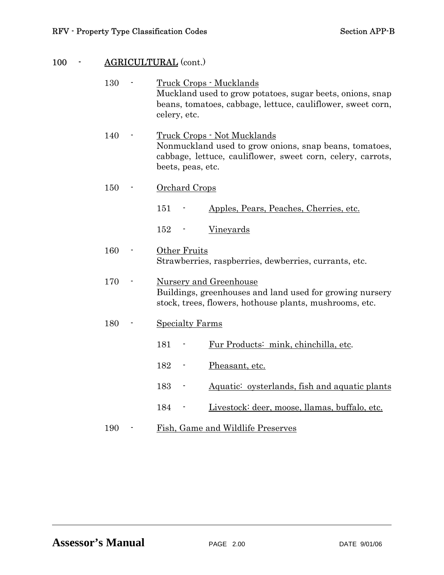# 100 - **AGRICULTURAL** (cont.)

| 130 | <u> Truck Crops - Mucklands</u><br>Muckland used to grow potatoes, sugar beets, onions, snap<br>beans, tomatoes, cabbage, lettuce, cauliflower, sweet corn,<br>celery, etc.       |  |  |
|-----|-----------------------------------------------------------------------------------------------------------------------------------------------------------------------------------|--|--|
| 140 | <u> Truck Crops - Not Mucklands</u><br>Nonmuckland used to grow onions, snap beans, tomatoes,<br>cabbage, lettuce, cauliflower, sweet corn, celery, carrots,<br>beets, peas, etc. |  |  |
| 150 | <b>Orchard Crops</b>                                                                                                                                                              |  |  |
|     | 151<br>Apples, Pears, Peaches, Cherries, etc.                                                                                                                                     |  |  |
|     | 152<br>Vineyards                                                                                                                                                                  |  |  |
| 160 | Other Fruits<br>Strawberries, raspberries, dewberries, currants, etc.                                                                                                             |  |  |
| 170 | <b>Nursery and Greenhouse</b><br>Buildings, greenhouses and land used for growing nursery<br>stock, trees, flowers, hothouse plants, mushrooms, etc.                              |  |  |
| 180 | <b>Specialty Farms</b>                                                                                                                                                            |  |  |
|     | 181<br>Fur Products: mink, chinchilla, etc.                                                                                                                                       |  |  |
|     | 182<br>Pheasant, etc.<br>٠                                                                                                                                                        |  |  |
|     | 183<br>Aquatic: oysterlands, fish and aquatic plants                                                                                                                              |  |  |
|     | 184<br>Livestock: deer, moose, llamas, buffalo, etc.                                                                                                                              |  |  |
| 190 | Fish, Game and Wildlife Preserves                                                                                                                                                 |  |  |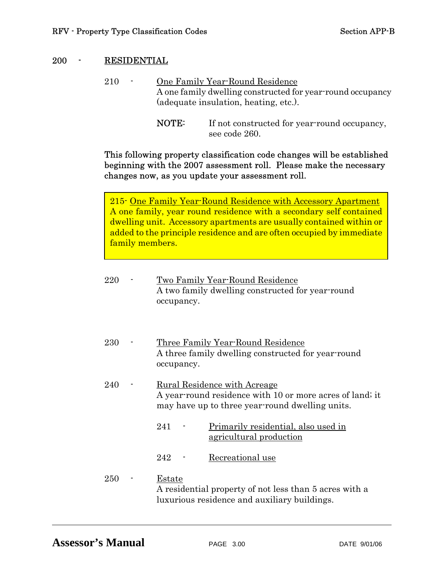#### 200 - RESIDENTIAL

ſ

- 210 One Family Year-Round Residence A one family dwelling constructed for year-round occupancy (adequate insulation, heating, etc.).
	- NOTE: If not constructed for year-round occupancy, see code 260.

#### This following property classification code changes will be established beginning with the 2007 assessment roll. Please make the necessary changes now, as you update your assessment roll.

215- One Family Year-Round Residence with Accessory Apartment A one family, year round residence with a secondary self contained dwelling unit. Accessory apartments are usually contained within or added to the principle residence and are often occupied by immediate family members.

| 220 | Two Family Year-Round Residence<br>A two family dwelling constructed for year-round<br>occupancy.                                                  |
|-----|----------------------------------------------------------------------------------------------------------------------------------------------------|
| 230 | Three Family Year-Round Residence<br>A three family dwelling constructed for year-round<br>occupancy.                                              |
| 240 | <u>Rural Residence with Acreage</u><br>A year-round residence with 10 or more acres of land; it<br>may have up to three year-round dwelling units. |
|     | Primarily residential, also used in<br>241<br><u>agricultural</u> production                                                                       |
|     | 242<br>Recreational use                                                                                                                            |
| 250 | Estate<br>A residential property of not less than 5 acres with a<br>luxurious residence and auxiliary buildings.                                   |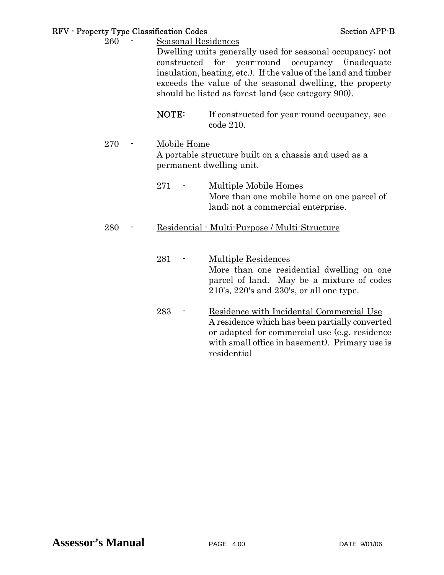#### RFV - Property Type Classification Codes Section APP-B

- 260 Seasonal Residences Dwelling units generally used for seasonal occupancy; not constructed for year-round occupancy (inadequate insulation, heating, etc.). If the value of the land and timber exceeds the value of the seasonal dwelling, the property should be listed as forest land (see category 900).
	- NOTE: If constructed for year-round occupancy, see code 210.
- 270 Mobile Home A portable structure built on a chassis and used as a permanent dwelling unit.
	- 271 Multiple Mobile Homes More than one mobile home on one parcel of land; not a commercial enterprise.

#### 280 - Residential - Multi-Purpose / Multi-Structure

- 281 Multiple Residences More than one residential dwelling on one parcel of land. May be a mixture of codes 210's, 220's and 230's, or all one type.
- 283 Residence with Incidental Commercial Use A residence which has been partially converted or adapted for commercial use (e.g. residence with small office in basement). Primary use is residential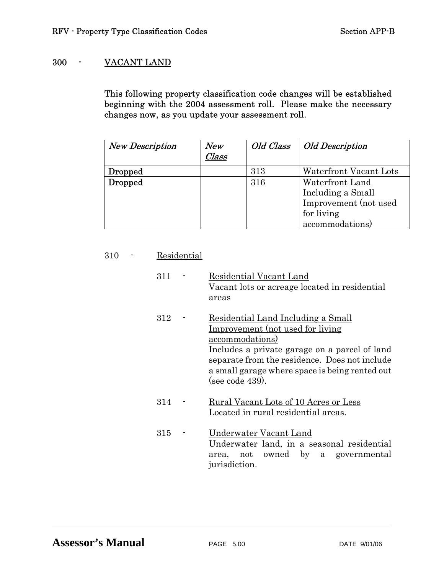# 300 - VACANT LAND

This following property classification code changes will be established beginning with the 2004 assessment roll. Please make the necessary changes now, as you update your assessment roll.

| <b>New Description</b> | $N\!ew$<br>Class | Old Class | <b>Old Description</b> |
|------------------------|------------------|-----------|------------------------|
| Dropped                |                  | 313       | Waterfront Vacant Lots |
| Dropped                |                  | 316       | Waterfront Land        |
|                        |                  |           | Including a Small      |
|                        |                  |           | Improvement (not used  |
|                        |                  |           | for living             |
|                        |                  |           | accommodations)        |

#### 310 - Residential

| 311 |                | Residential Vacant Land<br>Vacant lots or acreage located in residential<br>areas                                                                                                                                                                                 |
|-----|----------------|-------------------------------------------------------------------------------------------------------------------------------------------------------------------------------------------------------------------------------------------------------------------|
| 312 |                | Residential Land Including a Small<br>Improvement (not used for living)<br>accommodations)<br>Includes a private garage on a parcel of land<br>separate from the residence. Does not include<br>a small garage where space is being rented out<br>(see code 439). |
| 314 |                | Rural Vacant Lots of 10 Acres or Less<br>Located in rural residential areas.                                                                                                                                                                                      |
| 315 | $\blacksquare$ | Underwater Vacant Land<br>Underwater land, in a seasonal residential<br>owned by<br>a governmental<br>not<br>area,<br>jurisdiction.                                                                                                                               |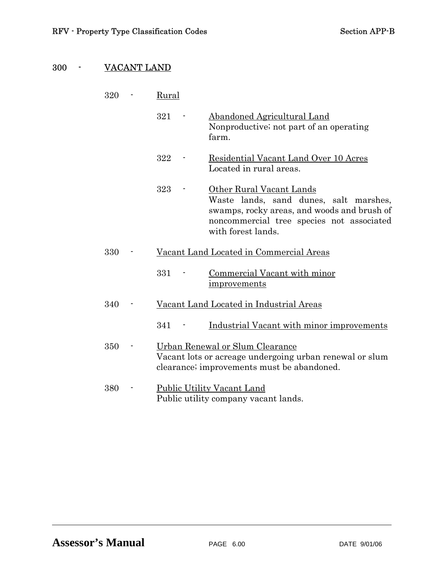# 300 - VACANT LAND

| 320 | Rural                                                                                                                                                                                       |
|-----|---------------------------------------------------------------------------------------------------------------------------------------------------------------------------------------------|
|     | 321<br>Abandoned Agricultural Land<br>Nonproductive; not part of an operating<br>farm.                                                                                                      |
|     | 322<br>Residential Vacant Land Over 10 Acres<br>Located in rural areas.                                                                                                                     |
|     | 323<br>Other Rural Vacant Lands<br>Waste lands, sand dunes, salt marshes,<br>swamps, rocky areas, and woods and brush of<br>noncommercial tree species not associated<br>with forest lands. |
| 330 | Vacant Land Located in Commercial Areas                                                                                                                                                     |
|     | 331<br>Commercial Vacant with minor<br>improvements                                                                                                                                         |
| 340 | Vacant Land Located in Industrial Areas                                                                                                                                                     |
|     | Industrial Vacant with minor improvements<br>341                                                                                                                                            |
| 350 | Urban Renewal or Slum Clearance<br>Vacant lots or acreage undergoing urban renewal or slum<br>clearance; improvements must be abandoned.                                                    |
| 380 | Public Utility Vacant Land<br>Public utility company vacant lands.                                                                                                                          |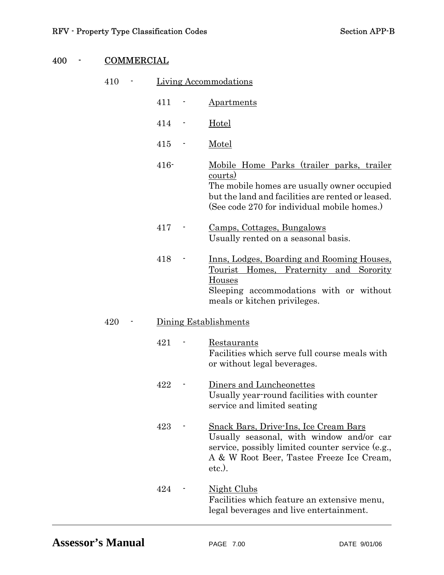| 400 | <b>COMMERCIAL</b> |         |  |                                                                                                                                                                                                                |  |
|-----|-------------------|---------|--|----------------------------------------------------------------------------------------------------------------------------------------------------------------------------------------------------------------|--|
|     | 410               |         |  | <b>Living Accommodations</b>                                                                                                                                                                                   |  |
|     |                   | 411     |  | Apartments                                                                                                                                                                                                     |  |
|     |                   | 414     |  | <u>Hotel</u>                                                                                                                                                                                                   |  |
|     |                   | 415     |  | <u>Motel</u>                                                                                                                                                                                                   |  |
|     |                   | $416 -$ |  | Mobile Home Parks (trailer parks, trailer<br><u>courts)</u><br>The mobile homes are usually owner occupied<br>but the land and facilities are rented or leased.<br>(See code 270 for individual mobile homes.) |  |
|     |                   | 417     |  | Camps, Cottages, Bungalows<br>Usually rented on a seasonal basis.                                                                                                                                              |  |
|     |                   | 418     |  | <u>Inns, Lodges, Boarding and Rooming Houses,</u><br><u>Tourist Homes, Fraternity</u><br>and Sorority<br>Houses<br>Sleeping accommodations with or without<br>meals or kitchen privileges.                     |  |
|     | 420               |         |  | Dining Establishments                                                                                                                                                                                          |  |
|     |                   | 421     |  | Restaurants<br>Facilities which serve full course meals with<br>or without legal beverages.                                                                                                                    |  |
|     |                   | 422     |  | Diners and Luncheonettes<br>Usually year round facilities with counter<br>service and limited seating                                                                                                          |  |
|     |                   | 423     |  | <b>Snack Bars, Drive-Ins, Ice Cream Bars</b><br>Usually seasonal, with window and/or car<br>service, possibly limited counter service (e.g.,<br>A & W Root Beer, Tastee Freeze Ice Cream,<br>$etc.$ ).         |  |
|     |                   | 424     |  | <u>Night Clubs</u><br>Facilities which feature an extensive menu,<br>legal beverages and live entertainment.                                                                                                   |  |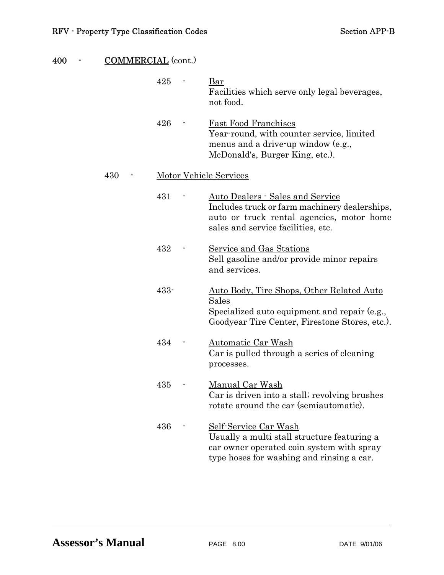| 400 | <b>COMMERCIAL</b> (cont.) |         |                                                                                                                                                                      |
|-----|---------------------------|---------|----------------------------------------------------------------------------------------------------------------------------------------------------------------------|
|     |                           | 425     | Bar<br>Facilities which serve only legal beverages,<br>not food.                                                                                                     |
|     |                           | 426     | <b>Fast Food Franchises</b><br>Year-round, with counter service, limited<br>menus and a drive-up window (e.g.,<br>McDonald's, Burger King, etc.).                    |
|     | 430                       |         | <b>Motor Vehicle Services</b>                                                                                                                                        |
|     |                           | 431     | Auto Dealers - Sales and Service<br>Includes truck or farm machinery dealerships,<br>auto or truck rental agencies, motor home<br>sales and service facilities, etc. |
|     |                           | 432     | Service and Gas Stations<br>Sell gasoline and/or provide minor repairs<br>and services.                                                                              |
|     |                           | $433 -$ | <u>Auto Body, Tire Shops, Other Related Auto</u><br><u>Sales</u><br>Specialized auto equipment and repair (e.g.,<br>Goodyear Tire Center, Firestone Stores, etc.).   |
|     |                           | 434     | Automatic Car Wash<br>Car is pulled through a series of cleaning<br>processes.                                                                                       |
|     |                           | 435     | Manual Car Wash<br>Car is driven into a stall; revolving brushes<br>rotate around the car (semiautomatic).                                                           |
|     |                           | 436     | Self-Service Car Wash<br>Usually a multi stall structure featuring a<br>car owner operated coin system with spray<br>type hoses for washing and rinsing a car.       |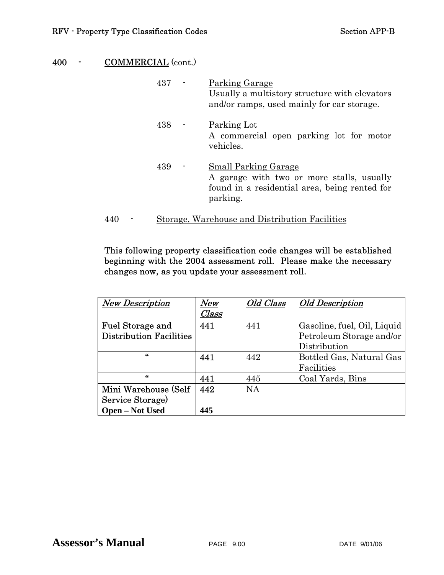|     | 437 | Parking Garage<br>Usually a multistory structure with elevators<br>and/or ramps, used mainly for car storage.                         |
|-----|-----|---------------------------------------------------------------------------------------------------------------------------------------|
|     | 438 | Parking Lot<br>A commercial open parking lot for motor<br>vehicles.                                                                   |
|     | 439 | <b>Small Parking Garage</b><br>A garage with two or more stalls, usually<br>found in a residential area, being rented for<br>parking. |
| 44U |     | Storage, Warehouse and Distribution Facilities                                                                                        |

This following property classification code changes will be established beginning with the 2004 assessment roll. Please make the necessary changes now, as you update your assessment roll.

| <b>New Description</b>         | New   | Old Class | <b>Old Description</b>      |
|--------------------------------|-------|-----------|-----------------------------|
|                                | Class |           |                             |
| <b>Fuel Storage and</b>        | 441   | 441       | Gasoline, fuel, Oil, Liquid |
| <b>Distribution Facilities</b> |       |           | Petroleum Storage and/or    |
|                                |       |           | Distribution                |
| 46                             | 441   | 442       | Bottled Gas, Natural Gas    |
|                                |       |           | Facilities                  |
| 46                             | 441   | 445       | Coal Yards, Bins            |
| Mini Warehouse (Self           | 442   | <b>NA</b> |                             |
| Service Storage)               |       |           |                             |
| <b>Open – Not Used</b>         | 445   |           |                             |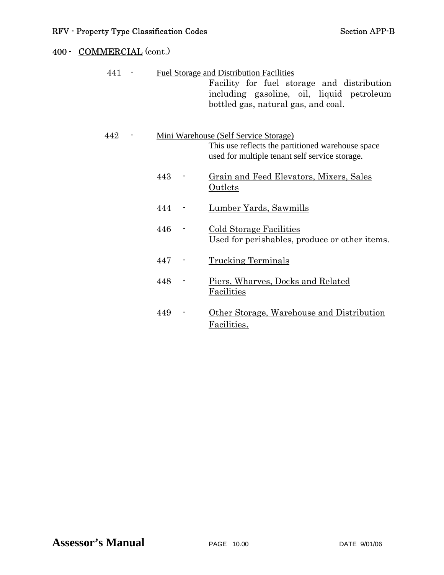| 441 |     | <b>Fuel Storage and Distribution Facilities</b><br>Facility for fuel storage and distribution<br>including gasoline, oil, liquid petroleum<br>bottled gas, natural gas, and coal. |
|-----|-----|-----------------------------------------------------------------------------------------------------------------------------------------------------------------------------------|
| 442 |     | <u>Mini Warehouse (Self Service Storage)</u><br>This use reflects the partitioned warehouse space<br>used for multiple tenant self service storage.                               |
|     | 443 | Grain and Feed Elevators, Mixers, Sales<br><b>Outlets</b>                                                                                                                         |
|     | 444 | Lumber Yards, Sawmills                                                                                                                                                            |
|     | 446 | <b>Cold Storage Facilities</b><br>Used for perishables, produce or other items.                                                                                                   |
|     | 447 | <b>Trucking Terminals</b>                                                                                                                                                         |
|     | 448 | Piers, Wharves, Docks and Related<br><b>Facilities</b>                                                                                                                            |
|     | 449 | Other Storage, Warehouse and Distribution<br>Facilities.                                                                                                                          |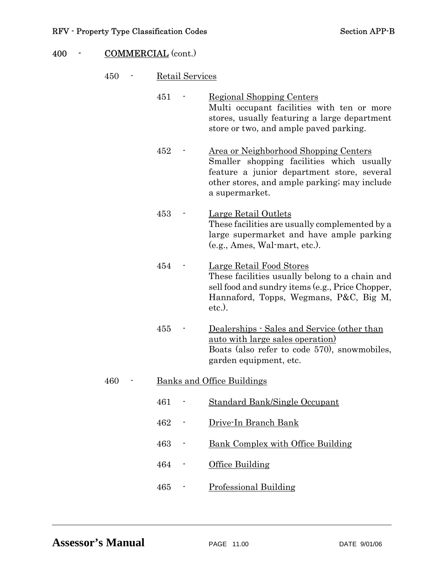|     | 451 | <b>Regional Shopping Centers</b><br>Multi occupant facilities with ten or more<br>stores, usually featuring a large department<br>store or two, and ample paved parking.                           |
|-----|-----|----------------------------------------------------------------------------------------------------------------------------------------------------------------------------------------------------|
|     | 452 | Area or Neighborhood Shopping Centers<br>Smaller shopping facilities which usually<br>feature a junior department store, several<br>other stores, and ample parking; may include<br>a supermarket. |
|     | 453 | Large Retail Outlets<br>These facilities are usually complemented by a<br>large supermarket and have ample parking<br>$(e.g., Ames, Wal-mart, etc.).$                                              |
|     | 454 | Large Retail Food Stores<br>These facilities usually belong to a chain and<br>sell food and sundry items (e.g., Price Chopper,<br>Hannaford, Topps, Wegmans, P&C, Big M,<br>etc.).                 |
|     | 455 | Dealerships - Sales and Service (other than<br><u>auto with large sales operation</u><br>Boats (also refer to code 570), snowmobiles,<br>garden equipment, etc.                                    |
| 460 |     | <b>Banks and Office Buildings</b>                                                                                                                                                                  |
|     | 461 | Standard Bank/Single Occupant                                                                                                                                                                      |
|     | 462 | Drive-In Branch Bank                                                                                                                                                                               |
|     | 463 | Bank Complex with Office Building                                                                                                                                                                  |
|     | 464 | Office Building                                                                                                                                                                                    |

465 - Professional Building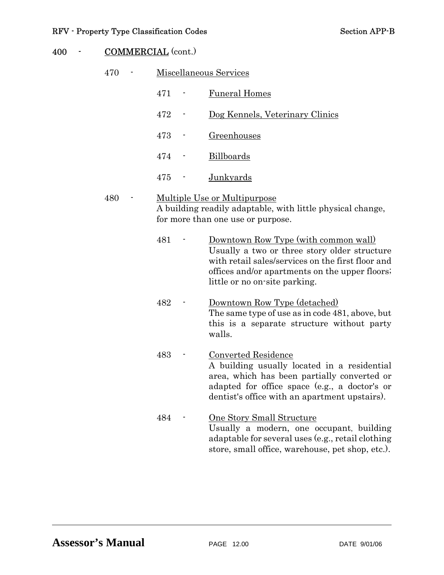| 470 | Miscellaneous Services |  |                                                                                                                                                                                                                              |
|-----|------------------------|--|------------------------------------------------------------------------------------------------------------------------------------------------------------------------------------------------------------------------------|
|     | 471                    |  | <b>Funeral Homes</b>                                                                                                                                                                                                         |
|     | 472                    |  | Dog Kennels, Veterinary Clinics                                                                                                                                                                                              |
|     | 473                    |  | Greenhouses                                                                                                                                                                                                                  |
|     | 474                    |  | <b>Billboards</b>                                                                                                                                                                                                            |
|     | 475                    |  | <b>Junkyards</b>                                                                                                                                                                                                             |
| 480 |                        |  | <u>Multiple Use or Multipurpose</u><br>A building readily adaptable, with little physical change,<br>for more than one use or purpose.                                                                                       |
|     | 481                    |  | Downtown Row Type (with common wall)<br>Usually a two or three story older structure<br>with retail sales/services on the first floor and<br>offices and/or apartments on the upper floors;<br>little or no on-site parking. |
|     | 482                    |  | Downtown Row Type (detached)<br>The same type of use as in code 481, above, but<br>this is a separate structure without party<br>walls.                                                                                      |
|     | 483                    |  | Converted Residence<br>A building usually located in a residential<br>area, which has been partially converted or<br>adapted for office space (e.g., a doctor's or<br>dentist's office with an apartment upstairs).          |
|     | 484                    |  | <b>One Story Small Structure</b><br>Usually a modern, one occupant, building<br>adaptable for several uses (e.g., retail clothing<br>store, small office, warehouse, pet shop, etc.).                                        |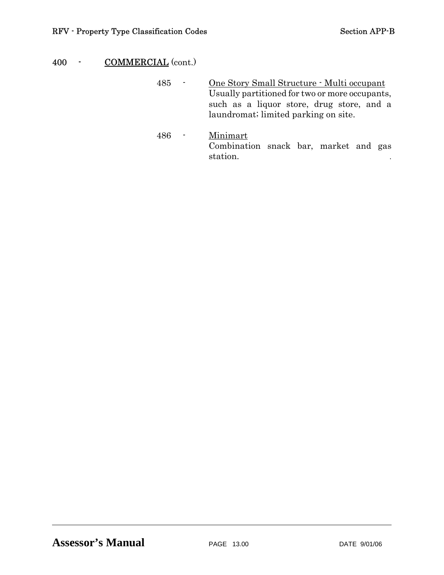485 - One Story Small Structure - Multi occupant Usually partitioned for two or more occupants, such as a liquor store, drug store, and a laundromat; limited parking on site.

 486 - Minimart Combination snack bar, market and gas station.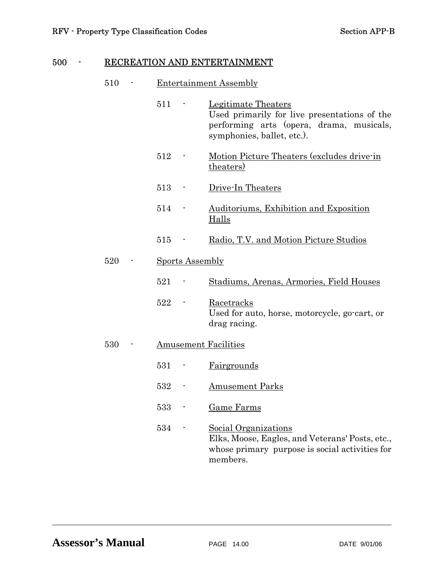# 500 - RECREATION AND ENTERTAINMENT

#### 510 - Entertainment Assembly

|     | 511 |                        | Legitimate Theaters<br>Used primarily for live presentations of the<br>performing arts (opera, drama, musicals,<br>symphonies, ballet, etc.). |
|-----|-----|------------------------|-----------------------------------------------------------------------------------------------------------------------------------------------|
|     | 512 |                        | Motion Picture Theaters (excludes drive-in<br>theaters)                                                                                       |
|     | 513 |                        | Drive-In Theaters                                                                                                                             |
|     | 514 |                        | Auditoriums, Exhibition and Exposition<br><b>Halls</b>                                                                                        |
|     | 515 |                        | Radio, T.V. and Motion Picture Studios                                                                                                        |
| 520 |     | <b>Sports Assembly</b> |                                                                                                                                               |
|     | 521 |                        | Stadiums, Arenas, Armories, Field Houses                                                                                                      |
|     | 522 |                        | <u>Racetracks</u><br>Used for auto, horse, motorcycle, go-cart, or<br>drag racing.                                                            |
| 530 |     |                        | <b>Amusement Facilities</b>                                                                                                                   |
|     | 531 |                        | Fairgrounds                                                                                                                                   |
|     | 532 |                        | <b>Amusement Parks</b>                                                                                                                        |
|     | 533 |                        | Game Farms                                                                                                                                    |
|     | 534 |                        | Social Organizations<br>Elks, Moose, Eagles, and Veterans' Posts, etc.,<br>whose primary purpose is social activities for<br>members.         |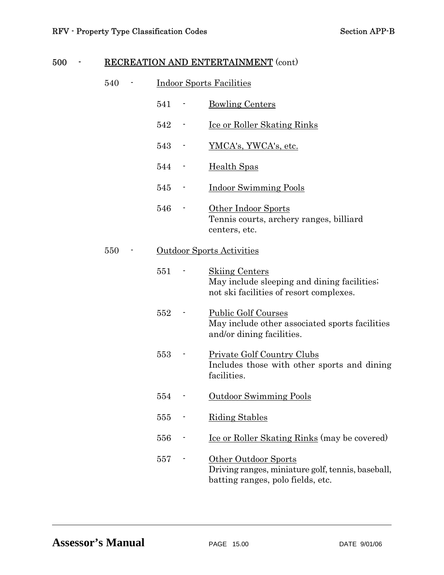# 500 - RECREATION AND ENTERTAINMENT (cont)

| 540 | <b>Indoor Sports Facilities</b> |  |                                                                                                                 |
|-----|---------------------------------|--|-----------------------------------------------------------------------------------------------------------------|
|     | 541                             |  | <b>Bowling Centers</b>                                                                                          |
|     | 542                             |  | <u>Ice or Roller Skating Rinks</u>                                                                              |
|     | 543                             |  | YMCA's, YWCA's, etc.                                                                                            |
|     | 544                             |  | Health Spas                                                                                                     |
|     | 545                             |  | <b>Indoor Swimming Pools</b>                                                                                    |
|     | 546                             |  | Other Indoor Sports<br>Tennis courts, archery ranges, billiard<br>centers, etc.                                 |
| 550 |                                 |  | <b>Outdoor Sports Activities</b>                                                                                |
|     | 551                             |  | <b>Skiing Centers</b><br>May include sleeping and dining facilities.<br>not ski facilities of resort complexes. |
|     | 552                             |  | <b>Public Golf Courses</b><br>May include other associated sports facilities<br>and/or dining facilities.       |
|     | 553                             |  | <b>Private Golf Country Clubs</b><br>Includes those with other sports and dining<br>facilities.                 |
|     | 554                             |  | Outdoor Swimming Pools                                                                                          |
|     | 555                             |  | <b>Riding Stables</b>                                                                                           |
|     | 556                             |  | <u>Ice or Roller Skating Rinks</u> (may be covered)                                                             |
|     | 557                             |  | Other Outdoor Sports<br>Driving ranges, miniature golf, tennis, baseball,<br>batting ranges, polo fields, etc.  |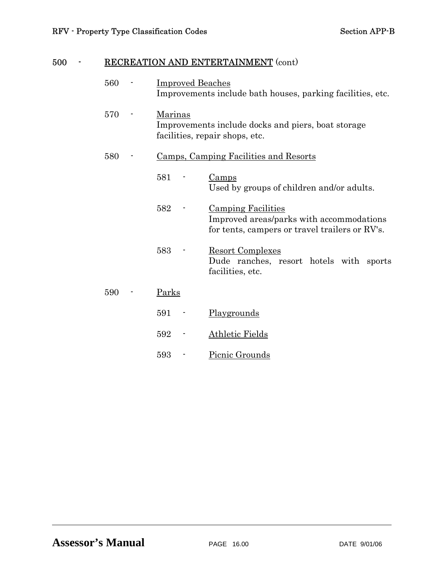# 500 - RECREATION AND ENTERTAINMENT (cont)

| 560 | <b>Improved Beaches</b><br>Improvements include bath houses, parking facilities, etc.                  |                                                                                                                         |  |  |  |
|-----|--------------------------------------------------------------------------------------------------------|-------------------------------------------------------------------------------------------------------------------------|--|--|--|
| 570 | <b>Marinas</b><br>Improvements include docks and piers, boat storage<br>facilities, repair shops, etc. |                                                                                                                         |  |  |  |
| 580 | Camps, Camping Facilities and Resorts                                                                  |                                                                                                                         |  |  |  |
|     | 581                                                                                                    | Camps<br>Used by groups of children and/or adults.                                                                      |  |  |  |
|     | 582                                                                                                    | <b>Camping Facilities</b><br>Improved areas/parks with accommodations<br>for tents, campers or travel trailers or RV's. |  |  |  |
|     | 583                                                                                                    | <b>Resort Complexes</b><br>Dude ranches, resort hotels with sports<br>facilities, etc.                                  |  |  |  |
| 590 | Parks                                                                                                  |                                                                                                                         |  |  |  |
|     | 591                                                                                                    | Playgrounds                                                                                                             |  |  |  |
|     | 592                                                                                                    | <b>Athletic Fields</b>                                                                                                  |  |  |  |
|     | 593                                                                                                    | Picnic Grounds                                                                                                          |  |  |  |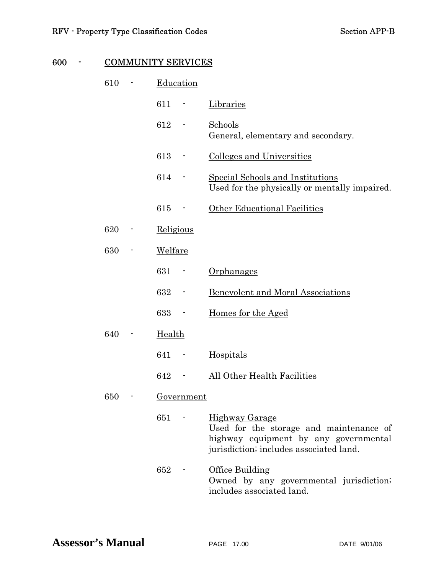# 600 - COMMUNITY SERVICES

| 610 | Education |                          |                                                                                                                                                      |
|-----|-----------|--------------------------|------------------------------------------------------------------------------------------------------------------------------------------------------|
|     | 611       | ۳                        | Libraries                                                                                                                                            |
|     | 612       |                          | <b>Schools</b><br>General, elementary and secondary.                                                                                                 |
|     | 613       |                          | <b>Colleges and Universities</b>                                                                                                                     |
|     | 614       |                          | Special Schools and Institutions<br>Used for the physically or mentally impaired.                                                                    |
|     | 615       | $\blacksquare$           | Other Educational Facilities                                                                                                                         |
| 620 | Religious |                          |                                                                                                                                                      |
| 630 | Welfare   |                          |                                                                                                                                                      |
|     | 631       |                          | Orphanages                                                                                                                                           |
|     | 632       |                          | Benevolent and Moral Associations                                                                                                                    |
|     | 633       |                          | Homes for the Aged                                                                                                                                   |
| 640 | Health    |                          |                                                                                                                                                      |
|     | 641       | $\overline{\phantom{a}}$ | Hospitals                                                                                                                                            |
|     | 642       |                          | All Other Health Facilities                                                                                                                          |
| 650 |           | Government               |                                                                                                                                                      |
|     | 651       |                          | <b>Highway Garage</b><br>Used for the storage and maintenance of<br>highway equipment by any governmental<br>jurisdiction; includes associated land. |
|     | 652       |                          | Office Building<br>Owned by any governmental jurisdiction;<br>includes associated land.                                                              |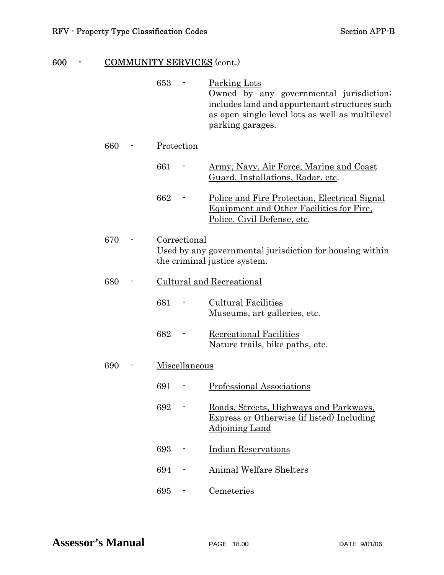# 600 - COMMUNITY SERVICES (cont.)

|     | 653           | Parking Lots<br>Owned by any governmental jurisdiction;<br>includes land and appurtenant structures such<br>as open single level lots as well as multilevel<br>parking garages. |
|-----|---------------|---------------------------------------------------------------------------------------------------------------------------------------------------------------------------------|
| 660 | Protection    |                                                                                                                                                                                 |
|     | 661           | <u>Army, Navy, Air Force, Marine and Coast</u><br>Guard, Installations, Radar, etc.                                                                                             |
|     | 662           | <u>Police and Fire Protection, Electrical Signal</u><br><u>Equipment and Other Facilities for Fire.</u><br>Police, Civil Defense, etc.                                          |
| 670 | Correctional  | Used by any governmental jurisdiction for housing within<br>the criminal justice system.                                                                                        |
| 680 |               | Cultural and Recreational                                                                                                                                                       |
|     | 681           | <b>Cultural Facilities</b><br>Museums, art galleries, etc.                                                                                                                      |
|     | 682           | Recreational Facilities<br>Nature trails, bike paths, etc.                                                                                                                      |
| 690 | Miscellaneous |                                                                                                                                                                                 |
|     | 691           | Professional Associations                                                                                                                                                       |
|     | 692           | Roads, Streets, Highways and Parkways,<br><b>Express or Otherwise (if listed) Including</b><br><b>Adjoining Land</b>                                                            |
|     | 693           | <b>Indian Reservations</b>                                                                                                                                                      |
|     | 694           | <b>Animal Welfare Shelters</b>                                                                                                                                                  |
|     | 695           | Cemeteries                                                                                                                                                                      |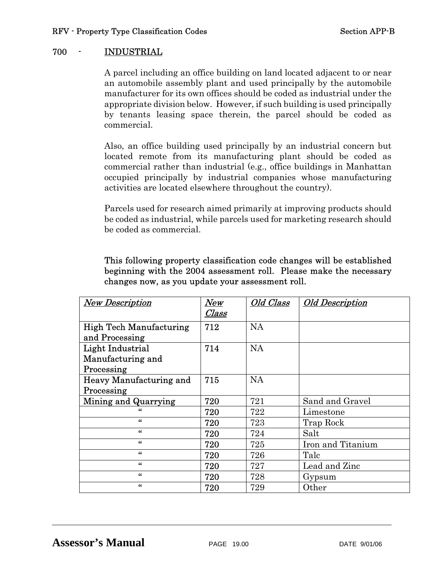# 700 - INDUSTRIAL

 A parcel including an office building on land located adjacent to or near an automobile assembly plant and used principally by the automobile manufacturer for its own offices should be coded as industrial under the appropriate division below. However, if such building is used principally by tenants leasing space therein, the parcel should be coded as commercial.

 Also, an office building used principally by an industrial concern but located remote from its manufacturing plant should be coded as commercial rather than industrial (e.g., office buildings in Manhattan occupied principally by industrial companies whose manufacturing activities are located elsewhere throughout the country).

 Parcels used for research aimed primarily at improving products should be coded as industrial, while parcels used for marketing research should be coded as commercial.

| <b>New Description</b>         | New   | Old Class | <b>Old Description</b> |
|--------------------------------|-------|-----------|------------------------|
|                                | Class |           |                        |
| <b>High Tech Manufacturing</b> | 712   | <b>NA</b> |                        |
| and Processing                 |       |           |                        |
| Light Industrial               | 714   | <b>NA</b> |                        |
| Manufacturing and              |       |           |                        |
| Processing                     |       |           |                        |
| Heavy Manufacturing and        | 715   | <b>NA</b> |                        |
| Processing                     |       |           |                        |
| Mining and Quarrying           | 720   | 721       | Sand and Gravel        |
| "                              | 720   | 722       | Limestone              |
| $\epsilon$                     | 720   | 723       | Trap Rock              |
| $\epsilon$                     | 720   | 724       | Salt                   |
| 66                             | 720   | 725       | Iron and Titanium      |
| 46                             | 720   | 726       | Talc                   |
| $\alpha$                       | 720   | 727       | Lead and Zinc          |
| 66                             | 720   | 728       | Gypsum                 |
| 66                             | 720   | 729       | Other                  |

# This following property classification code changes will be established beginning with the 2004 assessment roll. Please make the necessary changes now, as you update your assessment roll.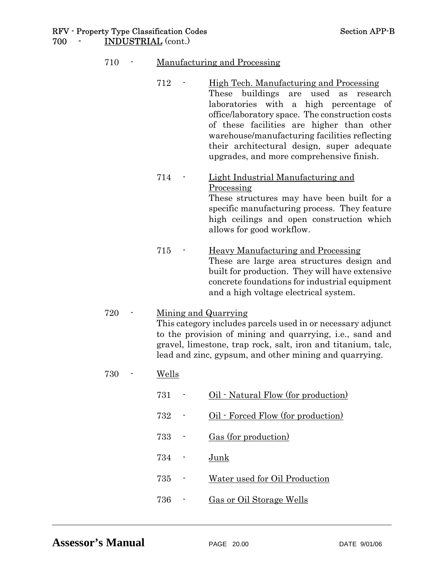#### RFV - Property Type Classification Codes Section APP-B 700 - INDUSTRIAL (cont.)

### 710 - Manufacturing and Processing

- 712 High Tech. Manufacturing and Processing These buildings are used as research laboratories with a high percentage of office/laboratory space. The construction costs of these facilities are higher than other warehouse/manufacturing facilities reflecting their architectural design, super adequate upgrades, and more comprehensive finish.
- 714 Light Industrial Manufacturing and Processing These structures may have been built for a specific manufacturing process. They feature high ceilings and open construction which allows for good workflow.
- 715 Heavy Manufacturing and Processing These are large area structures design and built for production. They will have extensive concrete foundations for industrial equipment and a high voltage electrical system.

### 720 - Mining and Quarrying This category includes parcels used in or necessary adjunct to the provision of mining and quarrying, i.e., sand and gravel, limestone, trap rock, salt, iron and titanium, talc, lead and zinc, gypsum, and other mining and quarrying.

- 730 Wells
	- 731 Oil Natural Flow (for production)
	- 732 Oil Forced Flow (for production)
	- 733 Gas (for production)
- 734 Junk
	- 735 Water used for Oil Production
	- 736 Gas or Oil Storage Wells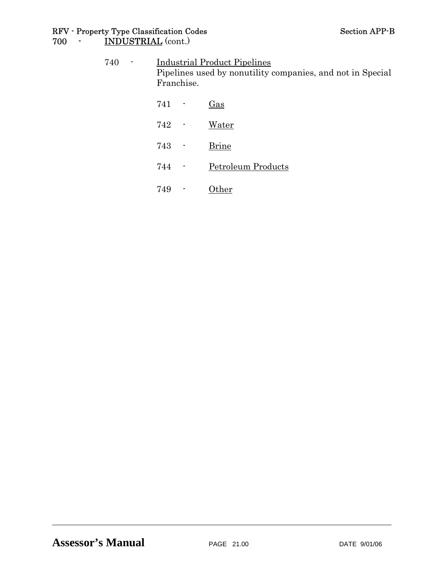#### RFV - Property Type Classification Codes Section APP-B 700 - <u>INDUSTRIAL</u> (cont.)

| 740 | $\blacksquare$ | <b>Industrial Product Pipelines</b><br>Pipelines used by nonutility companies, and not in Special<br>Franchise. |                          |                    |
|-----|----------------|-----------------------------------------------------------------------------------------------------------------|--------------------------|--------------------|
|     |                | 741 -                                                                                                           |                          | $\frac{Gas}{2}$    |
|     |                | $742 -$                                                                                                         |                          | <u>Water</u>       |
|     |                | 743 -                                                                                                           |                          | <b>Brine</b>       |
|     |                | 744 -                                                                                                           |                          | Petroleum Products |
|     |                | 749                                                                                                             | $\overline{\phantom{a}}$ | Other              |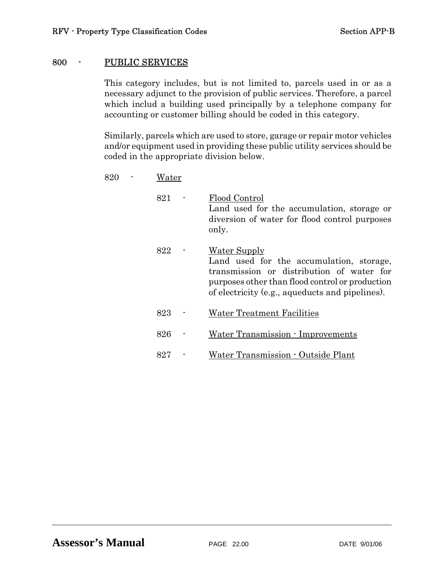#### 800 - PUBLIC SERVICES

This category includes, but is not limited to, parcels used in or as a necessary adjunct to the provision of public services. Therefore, a parcel which includ a building used principally by a telephone company for accounting or customer billing should be coded in this category.

Similarly, parcels which are used to store, garage or repair motor vehicles and/or equipment used in providing these public utility services should be coded in the appropriate division below.

| 820 |  | Water |
|-----|--|-------|
|-----|--|-------|

| 821 | Flood Control<br>Land used for the accumulation, storage or<br>diversion of water for flood control purposes<br>only.                                                                                              |
|-----|--------------------------------------------------------------------------------------------------------------------------------------------------------------------------------------------------------------------|
| 822 | <b>Water Supply</b><br>Land used for the accumulation, storage,<br>transmission or distribution of water for<br>purposes other than flood control or production<br>of electricity (e.g., aqueducts and pipelines). |
| 823 | Water Treatment Facilities                                                                                                                                                                                         |
| 826 | Water Transmission - Improvements                                                                                                                                                                                  |
| 827 | Water Transmission - Outside Plant                                                                                                                                                                                 |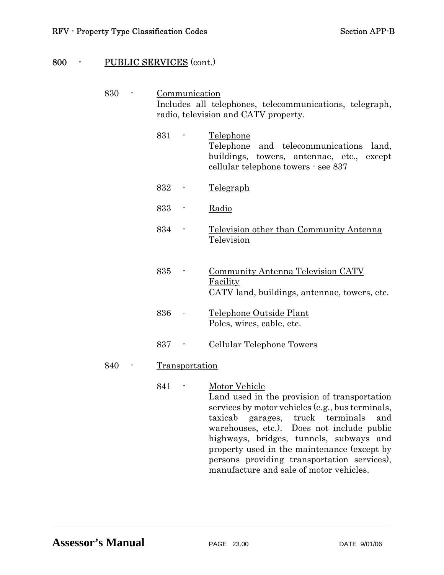# 800 - PUBLIC SERVICES (cont.)

| 830 | Communication<br>Includes all telephones, telecommunications, telegraph, |                |                                                                                                                                                                                                                                                                                                                                                               |  |
|-----|--------------------------------------------------------------------------|----------------|---------------------------------------------------------------------------------------------------------------------------------------------------------------------------------------------------------------------------------------------------------------------------------------------------------------------------------------------------------------|--|
|     | radio, television and CATV property.                                     |                |                                                                                                                                                                                                                                                                                                                                                               |  |
|     | 831                                                                      |                | <u>Telephone</u><br>Telephone<br>and telecommunications<br>land,<br>buildings, towers, antennae, etc.,<br>except<br>cellular telephone towers - see 837                                                                                                                                                                                                       |  |
|     | 832                                                                      |                | <u>Telegraph</u>                                                                                                                                                                                                                                                                                                                                              |  |
|     | 833                                                                      |                | Radio                                                                                                                                                                                                                                                                                                                                                         |  |
|     | 834                                                                      |                | Television other than Community Antenna<br><b>Television</b>                                                                                                                                                                                                                                                                                                  |  |
|     | 835                                                                      |                | <b>Community Antenna Television CATV</b><br>Facility<br>CATV land, buildings, antennae, towers, etc.                                                                                                                                                                                                                                                          |  |
|     | 836                                                                      |                | Telephone Outside Plant<br>Poles, wires, cable, etc.                                                                                                                                                                                                                                                                                                          |  |
|     | 837                                                                      |                | Cellular Telephone Towers                                                                                                                                                                                                                                                                                                                                     |  |
| 840 |                                                                          | Transportation |                                                                                                                                                                                                                                                                                                                                                               |  |
|     | 841                                                                      |                | <b>Motor Vehicle</b><br>Land used in the provision of transportation<br>services by motor vehicles (e.g., bus terminals,<br>garages, truck terminals<br>taxicab<br>and<br>warehouses, etc.). Does not include public<br>highways, bridges, tunnels, subways and<br>property used in the maintenance (except by<br>persons providing transportation services), |  |

manufacture and sale of motor vehicles.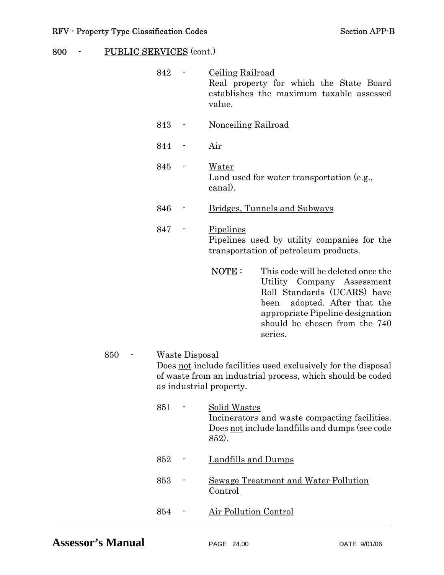# 800 - PUBLIC SERVICES (cont.)

|     | 842 |                       | <b>Ceiling Railroad</b><br>Real property for which the State Board<br>establishes the maximum taxable assessed<br>value.                                                                                                    |
|-----|-----|-----------------------|-----------------------------------------------------------------------------------------------------------------------------------------------------------------------------------------------------------------------------|
|     | 843 |                       | <b>Nonceiling Railroad</b>                                                                                                                                                                                                  |
|     | 844 |                       | <u>Air</u>                                                                                                                                                                                                                  |
|     | 845 |                       | <u>Water</u><br>Land used for water transportation (e.g.,<br>canal).                                                                                                                                                        |
|     | 846 |                       | Bridges, Tunnels and Subways                                                                                                                                                                                                |
|     | 847 |                       | Pipelines<br>Pipelines used by utility companies for the<br>transportation of petroleum products.                                                                                                                           |
|     |     |                       | NOTE:<br>This code will be deleted once the<br>Utility Company Assessment<br>Roll Standards (UCARS) have<br>adopted. After that the<br>been<br>appropriate Pipeline designation<br>should be chosen from the 740<br>series. |
| 850 |     | <b>Waste Disposal</b> | Does not include facilities used exclusively for the disposal<br>of waste from an industrial process, which should be coded<br>as industrial property.                                                                      |
|     | 851 |                       | <b>Solid Wastes</b><br>Incinerators and waste compacting facilities.<br>Does not include landfills and dumps (see code<br>852).                                                                                             |
|     | 852 |                       | <b>Landfills and Dumps</b>                                                                                                                                                                                                  |
|     | 853 |                       | <b>Sewage Treatment and Water Pollution</b><br><b>Control</b>                                                                                                                                                               |
|     | 854 |                       | <b>Air Pollution Control</b>                                                                                                                                                                                                |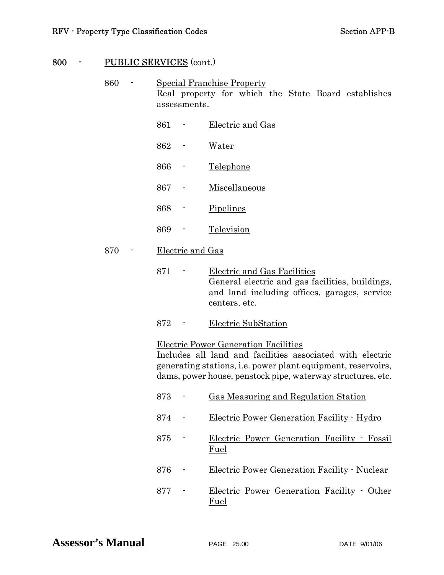# 800 - PUBLIC SERVICES (cont.)

| 860 | Special Franchise Property |                                                                                                                                                                                                                                  |  |
|-----|----------------------------|----------------------------------------------------------------------------------------------------------------------------------------------------------------------------------------------------------------------------------|--|
|     | assessments.               | Real property for which the State Board establishes                                                                                                                                                                              |  |
|     | 861                        | Electric and Gas                                                                                                                                                                                                                 |  |
|     | 862                        | <u>Water</u>                                                                                                                                                                                                                     |  |
|     | 866                        | Telephone                                                                                                                                                                                                                        |  |
|     | 867                        | Miscellaneous                                                                                                                                                                                                                    |  |
|     | 868                        | Pipelines                                                                                                                                                                                                                        |  |
|     | 869                        | Television                                                                                                                                                                                                                       |  |
| 870 | Electric and Gas           |                                                                                                                                                                                                                                  |  |
|     | 871                        | <b>Electric and Gas Facilities</b><br>General electric and gas facilities, buildings,<br>and land including offices, garages, service<br>centers, etc.                                                                           |  |
|     | 872                        | Electric SubStation                                                                                                                                                                                                              |  |
|     |                            | Electric Power Generation Facilities<br>Includes all land and facilities associated with electric<br>generating stations, i.e. power plant equipment, reservoirs,<br>dams, power house, penstock pipe, waterway structures, etc. |  |
|     | 873                        | Gas Measuring and Regulation Station                                                                                                                                                                                             |  |
|     | 874                        | Electric Power Generation Facility - Hydro                                                                                                                                                                                       |  |
|     | 875                        | Electric Power Generation Facility · Fossil<br><u>Fuel</u>                                                                                                                                                                       |  |
|     | 876                        | Electric Power Generation Facility - Nuclear                                                                                                                                                                                     |  |
|     | 877                        | Electric Power Generation Facility • Other<br><u>Fuel</u>                                                                                                                                                                        |  |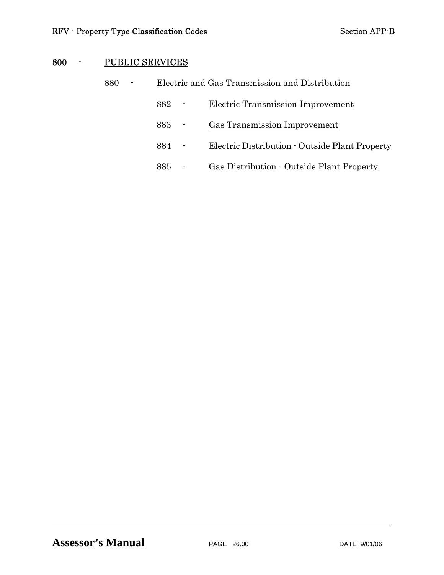# 800 - PUBLIC SERVICES

| 880 | ٠ | Electric and Gas Transmission and Distribution |  |                                                  |  |
|-----|---|------------------------------------------------|--|--------------------------------------------------|--|
|     |   | 882                                            |  | Electric Transmission Improvement                |  |
|     |   | 883.                                           |  | Gas Transmission Improvement                     |  |
|     |   | 884                                            |  | Electric Distribution - Outside Plant Property   |  |
|     |   | 885                                            |  | <b>Gas Distribution - Outside Plant Property</b> |  |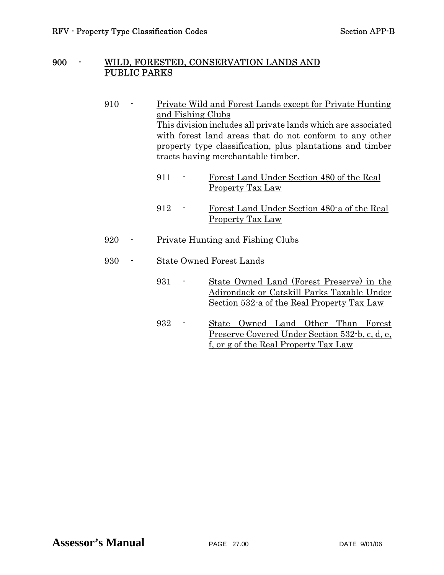#### 900 - WILD, FORESTED, CONSERVATION LANDS AND PUBLIC PARKS

- 910 Private Wild and Forest Lands except for Private Hunting and Fishing Clubs This division includes all private lands which are associated with forest land areas that do not conform to any other property type classification, plus plantations and timber tracts having merchantable timber.
	- 911 Forest Land Under Section 480 of the Real Property Tax Law
	- 912 Forest Land Under Section 480-a of the Real Property Tax Law
- 920 Private Hunting and Fishing Clubs

## 930 - State Owned Forest Lands

- 931 State Owned Land (Forest Preserve) in the Adirondack or Catskill Parks Taxable Under Section 532-a of the Real Property Tax Law
- 932 State Owned Land Other Than Forest Preserve Covered Under Section 532-b, c, d, e, f, or g of the Real Property Tax Law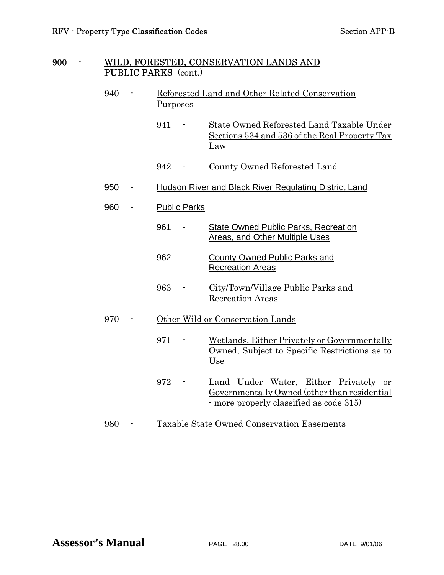#### 900 - WILD, FORESTED, CONSERVATION LANDS AND PUBLIC PARKS (cont.)

- 940 Reforested Land and Other Related Conservation Purposes 941 - State Owned Reforested Land Taxable Under Sections 534 and 536 of the Real Property Tax Law 942 - County Owned Reforested Land 950 - Hudson River and Black River Regulating District Land 960 - Public Parks 961 - State Owned Public Parks, Recreation Areas, and Other Multiple Uses 962 - County Owned Public Parks and Recreation Areas 963 - City/Town/Village Public Parks and Recreation Areas 970 - Other Wild or Conservation Lands 971 - Wetlands, Either Privately or Governmentally Owned, Subject to Specific Restrictions as to Use 972 - Land Under Water, Either Privately or Governmentally Owned (other than residential - more properly classified as code 315)
- 980 Taxable State Owned Conservation Easements